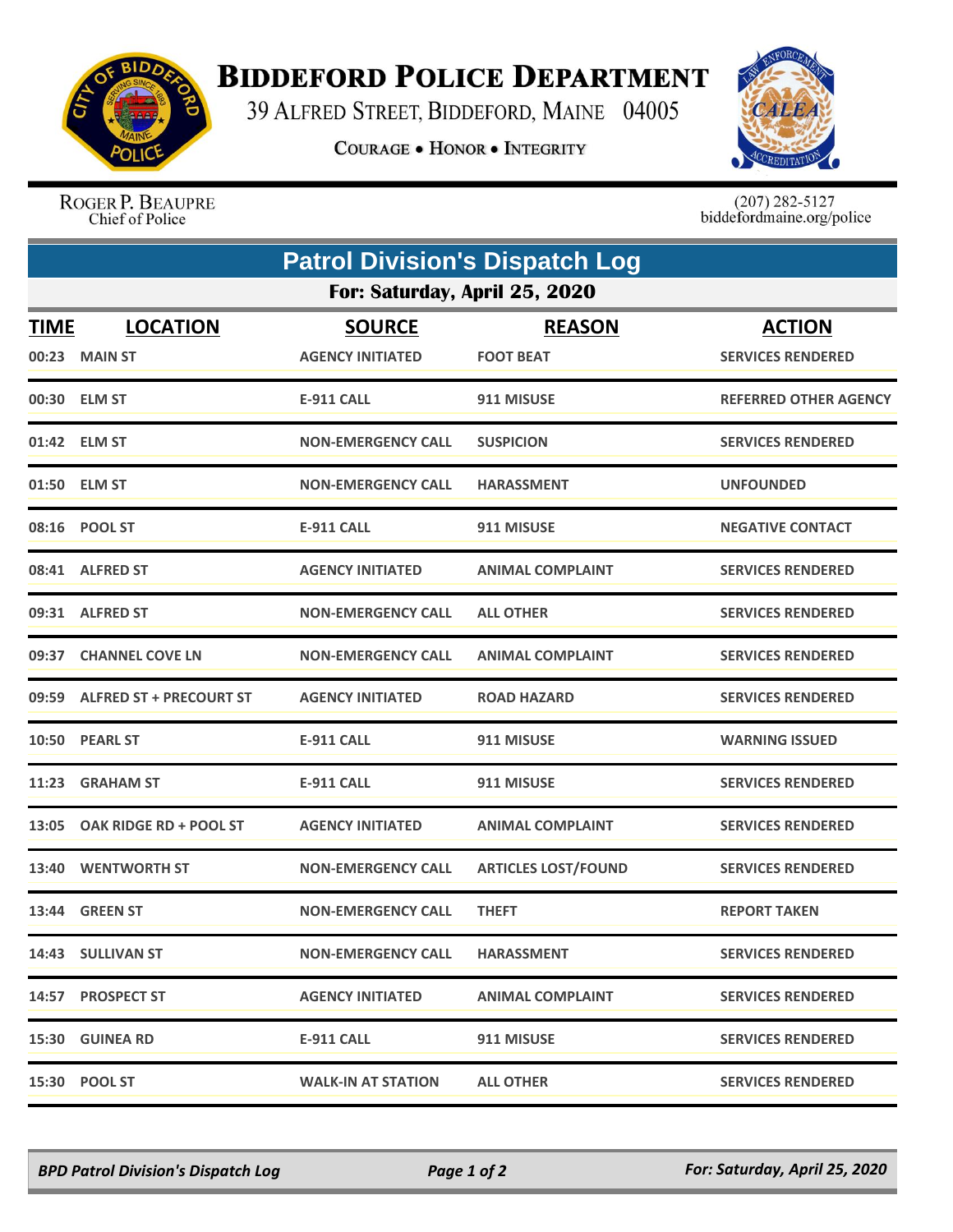

## **BIDDEFORD POLICE DEPARTMENT**

39 ALFRED STREET, BIDDEFORD, MAINE 04005

**COURAGE . HONOR . INTEGRITY** 



ROGER P. BEAUPRE Chief of Police

 $(207)$  282-5127<br>biddefordmaine.org/police

| <b>Patrol Division's Dispatch Log</b> |                               |                           |                            |                              |  |  |  |
|---------------------------------------|-------------------------------|---------------------------|----------------------------|------------------------------|--|--|--|
| For: Saturday, April 25, 2020         |                               |                           |                            |                              |  |  |  |
| <u>TIME</u>                           | <b>LOCATION</b>               | <b>SOURCE</b>             | <b>REASON</b>              | <b>ACTION</b>                |  |  |  |
|                                       | 00:23 MAIN ST                 | <b>AGENCY INITIATED</b>   | <b>FOOT BEAT</b>           | <b>SERVICES RENDERED</b>     |  |  |  |
|                                       | 00:30 ELM ST                  | <b>E-911 CALL</b>         | 911 MISUSE                 | <b>REFERRED OTHER AGENCY</b> |  |  |  |
|                                       | 01:42 ELM ST                  | <b>NON-EMERGENCY CALL</b> | <b>SUSPICION</b>           | <b>SERVICES RENDERED</b>     |  |  |  |
|                                       | 01:50 ELM ST                  | <b>NON-EMERGENCY CALL</b> | <b>HARASSMENT</b>          | <b>UNFOUNDED</b>             |  |  |  |
|                                       | 08:16 POOL ST                 | <b>E-911 CALL</b>         | 911 MISUSE                 | <b>NEGATIVE CONTACT</b>      |  |  |  |
|                                       | 08:41 ALFRED ST               | <b>AGENCY INITIATED</b>   | <b>ANIMAL COMPLAINT</b>    | <b>SERVICES RENDERED</b>     |  |  |  |
|                                       | 09:31 ALFRED ST               | <b>NON-EMERGENCY CALL</b> | <b>ALL OTHER</b>           | <b>SERVICES RENDERED</b>     |  |  |  |
| 09:37                                 | <b>CHANNEL COVE LN</b>        | <b>NON-EMERGENCY CALL</b> | <b>ANIMAL COMPLAINT</b>    | <b>SERVICES RENDERED</b>     |  |  |  |
|                                       | 09:59 ALFRED ST + PRECOURT ST | <b>AGENCY INITIATED</b>   | <b>ROAD HAZARD</b>         | <b>SERVICES RENDERED</b>     |  |  |  |
|                                       | 10:50 PEARL ST                | <b>E-911 CALL</b>         | 911 MISUSE                 | <b>WARNING ISSUED</b>        |  |  |  |
| 11:23                                 | <b>GRAHAM ST</b>              | <b>E-911 CALL</b>         | 911 MISUSE                 | <b>SERVICES RENDERED</b>     |  |  |  |
| 13:05                                 | OAK RIDGE RD + POOL ST        | <b>AGENCY INITIATED</b>   | <b>ANIMAL COMPLAINT</b>    | <b>SERVICES RENDERED</b>     |  |  |  |
| 13:40                                 | <b>WENTWORTH ST</b>           | <b>NON-EMERGENCY CALL</b> | <b>ARTICLES LOST/FOUND</b> | <b>SERVICES RENDERED</b>     |  |  |  |
|                                       | 13:44 GREEN ST                | <b>NON-EMERGENCY CALL</b> | <b>THEFT</b>               | <b>REPORT TAKEN</b>          |  |  |  |
|                                       | 14:43 SULLIVAN ST             | <b>NON-EMERGENCY CALL</b> | <b>HARASSMENT</b>          | <b>SERVICES RENDERED</b>     |  |  |  |
|                                       | 14:57 PROSPECT ST             | <b>AGENCY INITIATED</b>   | <b>ANIMAL COMPLAINT</b>    | <b>SERVICES RENDERED</b>     |  |  |  |
|                                       | 15:30 GUINEA RD               | E-911 CALL                | 911 MISUSE                 | <b>SERVICES RENDERED</b>     |  |  |  |
|                                       | 15:30 POOL ST                 | <b>WALK-IN AT STATION</b> | <b>ALL OTHER</b>           | <b>SERVICES RENDERED</b>     |  |  |  |